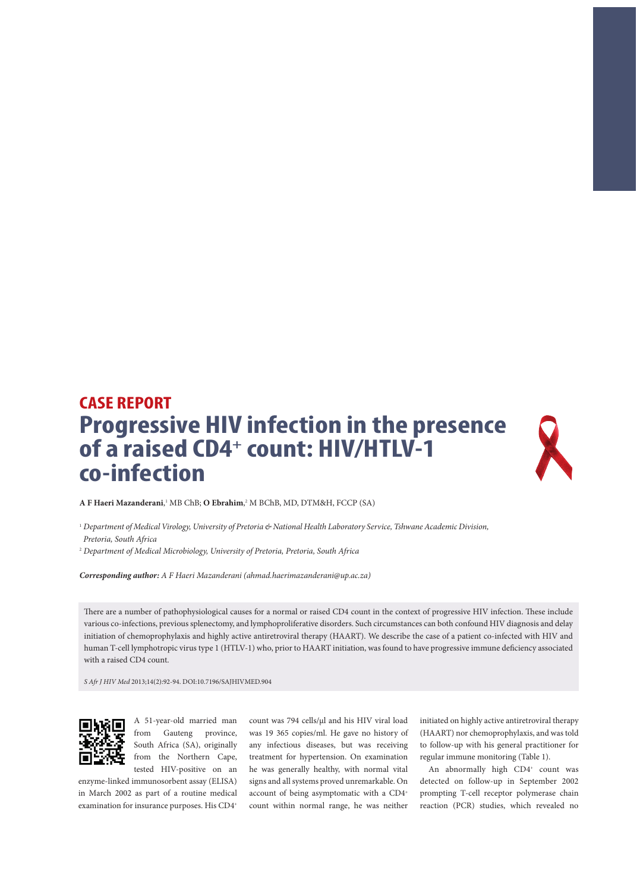## **CASE REPORT Progressive HIV infection in the presence**  of a raised CD4<sup>+</sup> count: HIV/HTLV-1 **co-infection**



**A F Haeri Mazanderani**, 1 MB ChB; **O Ebrahim**, 2 M BChB, MD, DTM&H, FCCP (SA)

<sup>1</sup> *Department of Medical Virology, University of Pretoria & National Health Laboratory Service, Tshwane Academic Division, Pretoria, South Africa*

2  *Department of Medical Microbiology, University of Pretoria, Pretoria, South Africa*

*Corresponding author: A F Haeri Mazanderani (ahmad.haerimazanderani@up.ac.za)* 

There are a number of pathophysiological causes for a normal or raised CD4 count in the context of progressive HIV infection. These include various co-infections, previous splenectomy, and lymphoproliferative disorders. Such circumstances can both confound HIV diagnosis and delay initiation of chemoprophylaxis and highly active antiretroviral therapy (HAART). We describe the case of a patient co-infected with HIV and human T-cell lymphotropic virus type 1 (HTLV-1) who, prior to HAART initiation, was found to have progressive immune deficiency associated with a raised CD4 count.

*S Afr J HIV Med* 2013;14(2):92-94. DOI:10.7196/SAJHIVMED.904



A 51-year-old married man from Gauteng province, South Africa (SA), originally from the Northern Cape, tested HIV-positive on an

enzyme-linked immunosorbent assay (ELISA) in March 2002 as part of a routine medical examination for insurance purposes. His CD4+

count was 794 cells/μl and his HIV viral load was 19 365 copies/ml. He gave no history of any infectious diseases, but was receiving treatment for hypertension. On examination he was generally healthy, with normal vital signs and all systems proved unremarkable. On account of being asymptomatic with a CD4<sup>+</sup> count within normal range, he was neither

initiated on highly active antiretroviral therapy (HAART) nor chemoprophylaxis, and was told to follow-up with his general practitioner for regular immune monitoring (Table 1).

An abnormally high CD4<sup>+</sup> count was detected on follow-up in September 2002 prompting T-cell receptor polymerase chain reaction (PCR) studies, which revealed no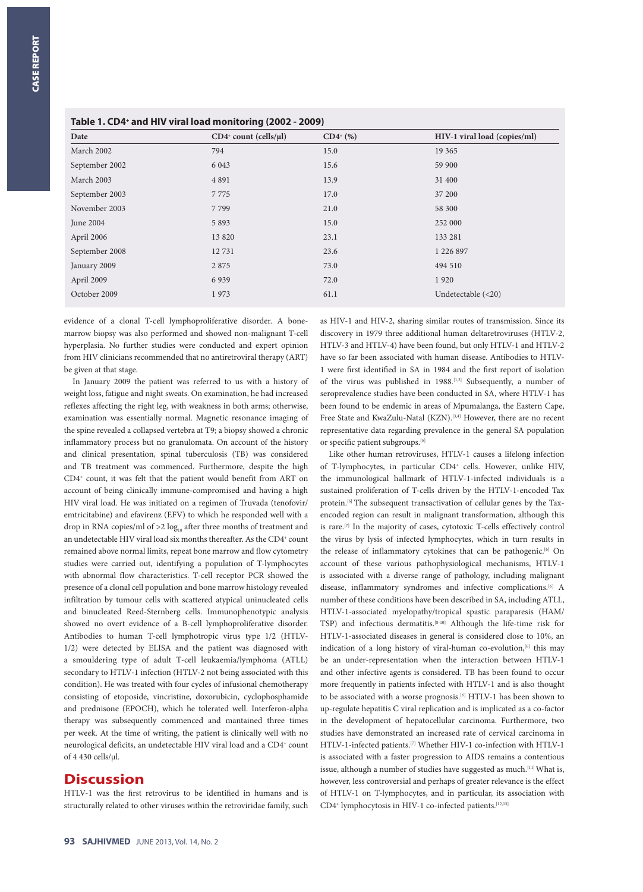| Table 1. CD4+ and HIV viral load monitoring (2002 - 2009) |  |  |  |  |  |
|-----------------------------------------------------------|--|--|--|--|--|
|-----------------------------------------------------------|--|--|--|--|--|

| Date           | $CD4$ <sup>+</sup> count (cells/ $\mu$ l) | $CD4^{(6)}$ | HIV-1 viral load (copies/ml) |
|----------------|-------------------------------------------|-------------|------------------------------|
| March 2002     | 794                                       | 15.0        | 19 3 65                      |
| September 2002 | 6 0 43                                    | 15.6        | 59 900                       |
| March 2003     | 4 8 9 1                                   | 13.9        | 31 400                       |
| September 2003 | 7775                                      | 17.0        | 37 200                       |
| November 2003  | 7799                                      | 21.0        | 58 300                       |
| June 2004      | 5893                                      | 15.0        | 252 000                      |
| April 2006     | 13 8 20                                   | 23.1        | 133 281                      |
| September 2008 | 12731                                     | 23.6        | 1 226 897                    |
| January 2009   | 2 8 7 5                                   | 73.0        | 494 510                      |
| April 2009     | 6939                                      | 72.0        | 1920                         |
| October 2009   | 1973                                      | 61.1        | Undetectable $(<20)$         |

evidence of a clonal T-cell lymphoproliferative disorder. A bonemarrow biopsy was also performed and showed non-malignant T-cell hyperplasia. No further studies were conducted and expert opinion from HIV clinicians recommended that no antiretroviral therapy (ART) be given at that stage.

In January 2009 the patient was referred to us with a history of weight loss, fatigue and night sweats. On examination, he had increased reflexes affecting the right leg, with weakness in both arms; otherwise, examination was essentially normal. Magnetic resonance imaging of the spine revealed a collapsed vertebra at T9; a biopsy showed a chronic inflammatory process but no granulomata. On account of the history and clinical presentation, spinal tuberculosis (TB) was considered and TB treatment was commenced. Furthermore, despite the high CD4+ count, it was felt that the patient would benefit from ART on account of being clinically immune-compromised and having a high HIV viral load. He was initiated on a regimen of Truvada (tenofovir/ emtricitabine) and efavirenz (EFV) to which he responded well with a drop in RNA copies/ml of  $>2 \log_{10}$  after three months of treatment and an undetectable HIV viral load six months thereafter. As the CD4+ count remained above normal limits, repeat bone marrow and flow cytometry studies were carried out, identifying a population of T-lymphocytes with abnormal flow characteristics. T-cell receptor PCR showed the presence of a clonal cell population and bone marrow histology revealed infiltration by tumour cells with scattered atypical uninucleated cells and binucleated Reed-Sternberg cells. Immunophenotypic analysis showed no overt evidence of a B-cell lymphoproliferative disorder. Antibodies to human T-cell lymphotropic virus type 1/2 (HTLV-1/2) were detected by ELISA and the patient was diagnosed with a smouldering type of adult T-cell leukaemia/lymphoma (ATLL) secondary to HTLV-1 infection (HTLV-2 not being associated with this condition). He was treated with four cycles of infusional chemotherapy consisting of etoposide, vincristine, doxorubicin, cyclophosphamide and prednisone (EPOCH), which he tolerated well. Interferon-alpha therapy was subsequently commenced and mantained three times per week. At the time of writing, the patient is clinically well with no neurological deficits, an undetectable HIV viral load and a CD4+ count of 4 430 cells/μl.

## **Discussion**

HTLV-1 was the first retrovirus to be identified in humans and is structurally related to other viruses within the retroviridae family, such

as HIV-1 and HIV-2, sharing similar routes of transmission. Since its discovery in 1979 three additional human deltaretroviruses (HTLV-2, HTLV-3 and HTLV-4) have been found, but only HTLV-1 and HTLV-2 have so far been associated with human disease. Antibodies to HTLV-1 were first identified in SA in 1984 and the first report of isolation of the virus was published in 1988.<sup>[1,2]</sup> Subsequently, a number of seroprevalence studies have been conducted in SA, where HTLV-1 has been found to be endemic in areas of Mpumalanga, the Eastern Cape, Free State and KwaZulu-Natal (KZN).<sup>[3,4]</sup> However, there are no recent representative data regarding prevalence in the general SA population or specific patient subgroups.[5]

Like other human retroviruses, HTLV-1 causes a lifelong infection of T-lymphocytes, in particular CD4<sup>+</sup> cells. However, unlike HIV, the immunological hallmark of HTLV-1-infected individuals is a sustained proliferation of T-cells driven by the HTLV-1-encoded Tax protein.<sup>[6]</sup> The subsequent transactivation of cellular genes by the Taxencoded region can result in malignant transformation, although this is rare.[7] In the majority of cases, cytotoxic T-cells effectively control the virus by lysis of infected lymphocytes, which in turn results in the release of inflammatory cytokines that can be pathogenic.<sup>[6]</sup> On account of these various pathophysiological mechanisms, HTLV-1 is associated with a diverse range of pathology, including malignant disease, inflammatory syndromes and infective complications.<sup>[6]</sup> A number of these conditions have been described in SA, including ATLL, HTLV-1-associated myelopathy/tropical spastic paraparesis (HAM/ TSP) and infectious dermatitis.[8-10] Although the life-time risk for HTLV-1-associated diseases in general is considered close to 10%, an indication of a long history of viral-human co-evolution,<sup>[6]</sup> this may be an under-representation when the interaction between HTLV-1 and other infective agents is considered. TB has been found to occur more frequently in patients infected with HTLV-1 and is also thought to be associated with a worse prognosis.<sup>[6]</sup> HTLV-1 has been shown to up-regulate hepatitis C viral replication and is implicated as a co-factor in the development of hepatocellular carcinoma. Furthermore, two studies have demonstrated an increased rate of cervical carcinoma in HTLV-1-infected patients.[7] Whether HIV-1 co-infection with HTLV-1 is associated with a faster progression to AIDS remains a contentious issue, although a number of studies have suggested as much.[11] What is, however, less controversial and perhaps of greater relevance is the effect of HTLV-1 on T-lymphocytes, and in particular, its association with CD4+ lymphocytosis in HIV-1 co-infected patients.[12,13]